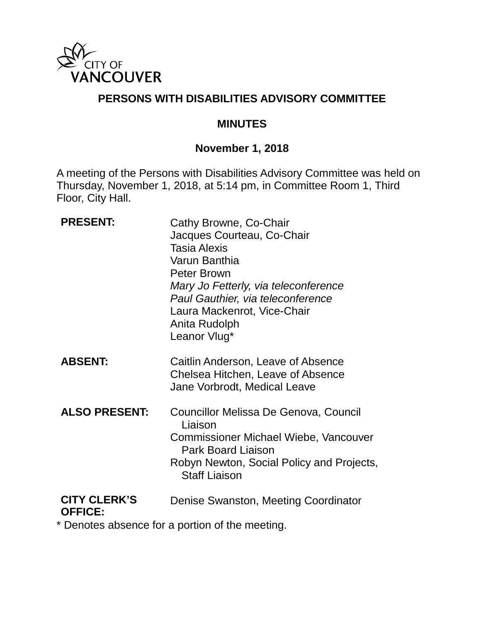

## **PERSONS WITH DISABILITIES ADVISORY COMMITTEE**

#### **MINUTES**

## **November 1, 2018**

A meeting of the Persons with Disabilities Advisory Committee was held on Thursday, November 1, 2018, at 5:14 pm, in Committee Room 1, Third Floor, City Hall.

| <b>PRESENT:</b>                       | Cathy Browne, Co-Chair<br>Jacques Courteau, Co-Chair<br><b>Tasia Alexis</b><br>Varun Banthia<br><b>Peter Brown</b><br>Mary Jo Fetterly, via teleconference<br>Paul Gauthier, via teleconference<br>Laura Mackenrot, Vice-Chair<br>Anita Rudolph<br>Leanor Vlug* |
|---------------------------------------|-----------------------------------------------------------------------------------------------------------------------------------------------------------------------------------------------------------------------------------------------------------------|
| <b>ABSENT:</b>                        | Caitlin Anderson, Leave of Absence<br>Chelsea Hitchen, Leave of Absence<br>Jane Vorbrodt, Medical Leave                                                                                                                                                         |
| <b>ALSO PRESENT:</b>                  | Councillor Melissa De Genova, Council<br>Liaison<br><b>Commissioner Michael Wiebe, Vancouver</b><br><b>Park Board Liaison</b><br>Robyn Newton, Social Policy and Projects,<br><b>Staff Liaison</b>                                                              |
| <b>CITY CLERK'S</b><br><b>OFFICE:</b> | Denise Swanston, Meeting Coordinator                                                                                                                                                                                                                            |

\* Denotes absence for a portion of the meeting.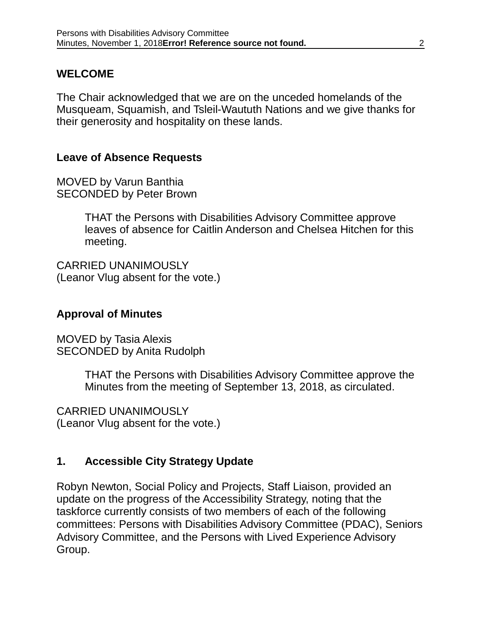### **WELCOME**

The Chair acknowledged that we are on the unceded homelands of the Musqueam, Squamish, and Tsleil-Waututh Nations and we give thanks for their generosity and hospitality on these lands.

#### **Leave of Absence Requests**

MOVED by Varun Banthia SECONDED by Peter Brown

> THAT the Persons with Disabilities Advisory Committee approve leaves of absence for Caitlin Anderson and Chelsea Hitchen for this meeting.

CARRIED UNANIMOUSLY (Leanor Vlug absent for the vote.)

#### **Approval of Minutes**

MOVED by Tasia Alexis SECONDED by Anita Rudolph

> THAT the Persons with Disabilities Advisory Committee approve the Minutes from the meeting of September 13, 2018, as circulated.

CARRIED UNANIMOUSLY (Leanor Vlug absent for the vote.)

### **1. Accessible City Strategy Update**

Robyn Newton, Social Policy and Projects, Staff Liaison, provided an update on the progress of the Accessibility Strategy, noting that the taskforce currently consists of two members of each of the following committees: Persons with Disabilities Advisory Committee (PDAC), Seniors Advisory Committee, and the Persons with Lived Experience Advisory Group.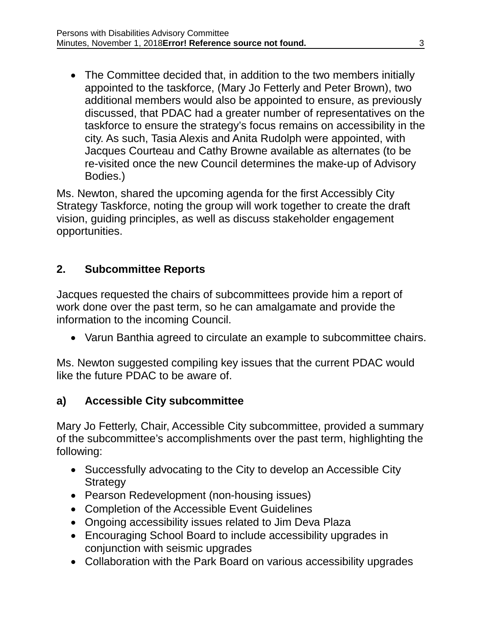• The Committee decided that, in addition to the two members initially appointed to the taskforce, (Mary Jo Fetterly and Peter Brown), two additional members would also be appointed to ensure, as previously discussed, that PDAC had a greater number of representatives on the taskforce to ensure the strategy's focus remains on accessibility in the city. As such, Tasia Alexis and Anita Rudolph were appointed, with Jacques Courteau and Cathy Browne available as alternates (to be re-visited once the new Council determines the make-up of Advisory Bodies.)

Ms. Newton, shared the upcoming agenda for the first Accessibly City Strategy Taskforce, noting the group will work together to create the draft vision, guiding principles, as well as discuss stakeholder engagement opportunities.

## **2. Subcommittee Reports**

Jacques requested the chairs of subcommittees provide him a report of work done over the past term, so he can amalgamate and provide the information to the incoming Council.

• Varun Banthia agreed to circulate an example to subcommittee chairs.

Ms. Newton suggested compiling key issues that the current PDAC would like the future PDAC to be aware of.

### **a) Accessible City subcommittee**

Mary Jo Fetterly, Chair, Accessible City subcommittee, provided a summary of the subcommittee's accomplishments over the past term, highlighting the following:

- Successfully advocating to the City to develop an Accessible City **Strategy**
- Pearson Redevelopment (non-housing issues)
- Completion of the Accessible Event Guidelines
- Ongoing accessibility issues related to Jim Deva Plaza
- Encouraging School Board to include accessibility upgrades in conjunction with seismic upgrades
- Collaboration with the Park Board on various accessibility upgrades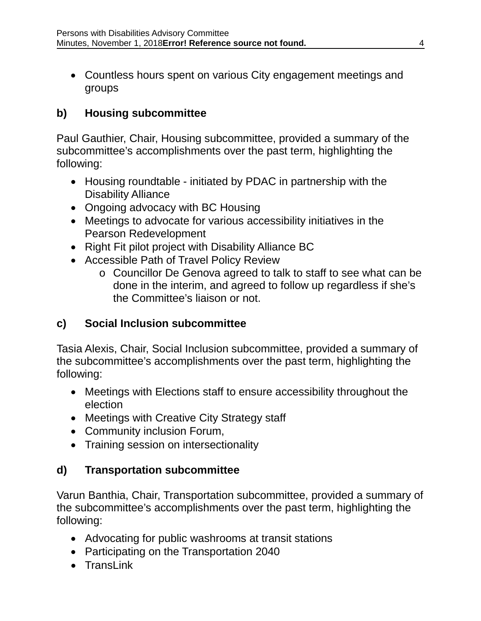• Countless hours spent on various City engagement meetings and groups

# **b) Housing subcommittee**

Paul Gauthier, Chair, Housing subcommittee, provided a summary of the subcommittee's accomplishments over the past term, highlighting the following:

- Housing roundtable initiated by PDAC in partnership with the Disability Alliance
- Ongoing advocacy with BC Housing
- Meetings to advocate for various accessibility initiatives in the Pearson Redevelopment
- Right Fit pilot project with Disability Alliance BC
- Accessible Path of Travel Policy Review
	- o Councillor De Genova agreed to talk to staff to see what can be done in the interim, and agreed to follow up regardless if she's the Committee's liaison or not.

# **c) Social Inclusion subcommittee**

Tasia Alexis, Chair, Social Inclusion subcommittee, provided a summary of the subcommittee's accomplishments over the past term, highlighting the following:

- Meetings with Elections staff to ensure accessibility throughout the election
- Meetings with Creative City Strategy staff
- Community inclusion Forum,
- Training session on intersectionality

# **d) Transportation subcommittee**

Varun Banthia, Chair, Transportation subcommittee, provided a summary of the subcommittee's accomplishments over the past term, highlighting the following:

- Advocating for public washrooms at transit stations
- Participating on the Transportation 2040
- TransLink